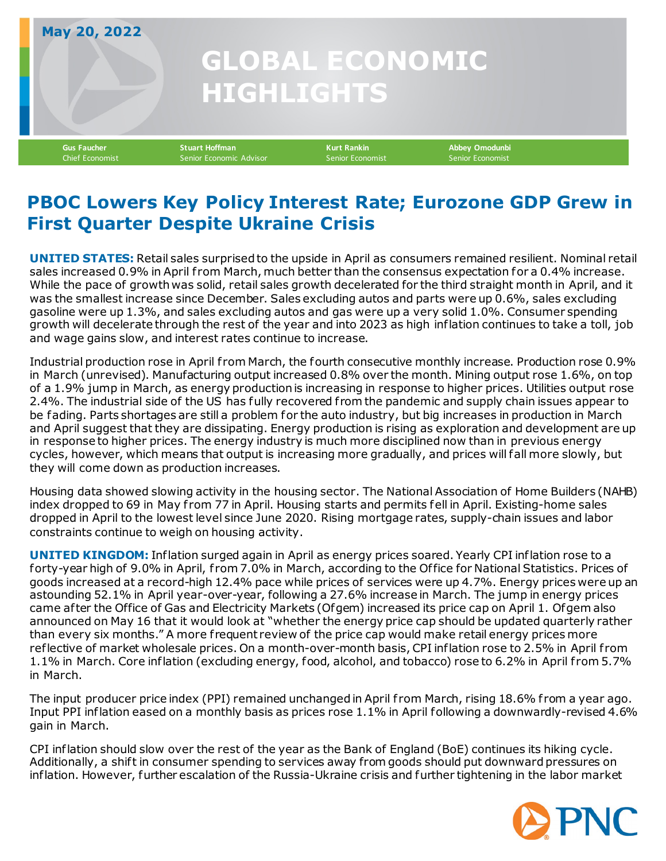## **GLOBAL ECONOMIC HIGHLIGHTS May 20, 2022**

**Gus Faucher Stuart Hoffman Kurt Rankin Abbey Omodunbi** Senior Economic Advisor

## **PBOC Lowers Key Policy Interest Rate; Eurozone GDP Grew in First Quarter Despite Ukraine Crisis**

**UNITED STATES:** Retail sales surprised to the upside in April as consumers remained resilient. Nominal retail sales increased 0.9% in April from March, much better than the consensus expectation for a 0.4% increase. While the pace of growth was solid, retail sales growth decelerated for the third straight month in April, and it was the smallest increase since December. Sales excluding autos and parts were up 0.6%, sales excluding gasoline were up 1.3%, and sales excluding autos and gas were up a very solid 1.0%. Consumer spending growth will decelerate through the rest of the year and into 2023 as high inflation continues to take a toll, job and wage gains slow, and interest rates continue to increase.

Industrial production rose in April from March, the fourth consecutive monthly increase. Production rose 0.9% in March (unrevised). Manufacturing output increased 0.8% over the month. Mining output rose 1.6%, on top of a 1.9% jump in March, as energy production is increasing in response to higher prices. Utilities output rose 2.4%. The industrial side of the US has fully recovered from the pandemic and supply chain issues appear to be fading. Parts shortages are still a problem for the auto industry, but big increases in production in March and April suggest that they are dissipating. Energy production is rising as exploration and development are up in response to higher prices. The energy industry is much more disciplined now than in previous energy cycles, however, which means that output is increasing more gradually, and prices will fall more slowly, but they will come down as production increases.

Housing data showed slowing activity in the housing sector. The National Association of Home Builders (NAHB) index dropped to 69 in May from 77 in April. Housing starts and permits fell in April. Existing-home sales dropped in April to the lowest level since June 2020. Rising mortgage rates, supply-chain issues and labor constraints continue to weigh on housing activity.

**UNITED KINGDOM:** Inflation surged again in April as energy prices soared. Yearly CPI inflation rose to a forty-year high of 9.0% in April, f rom 7.0% in March, according to the Of fice for National Statistics. Prices of goods increased at a record-high 12.4% pace while prices of services were up 4.7%. Energy prices were up an astounding 52.1% in April year-over-year, following a 27.6% increase in March. The jump in energy prices came af ter the Office of Gas and Electricity Markets (Ofgem) increased its price cap on April 1. Ofgem also announced on May 16 that it would look at "whether the energy price cap should be updated quarterly rather than every six months." A more f requent review of the price cap would make retail energy prices more reflective of market wholesale prices. On a month-over-month basis, CPI inflation rose to 2.5% in April f rom 1.1% in March. Core inflation (excluding energy, food, alcohol, and tobacco) rose to 6.2% in April from 5.7% in March.

The input producer price index (PPI) remained unchanged in April from March, rising 18.6% from a year ago. Input PPI inflation eased on a monthly basis as prices rose 1.1% in April following a downwardly-revised 4.6% gain in March.

CPI inflation should slow over the rest of the year as the Bank of England (BoE) continues its hiking cycle. Additionally, a shift in consumer spending to services away from goods should put downward pressures on inflation. However, further escalation of the Russia-Ukraine crisis and further tightening in the labor market